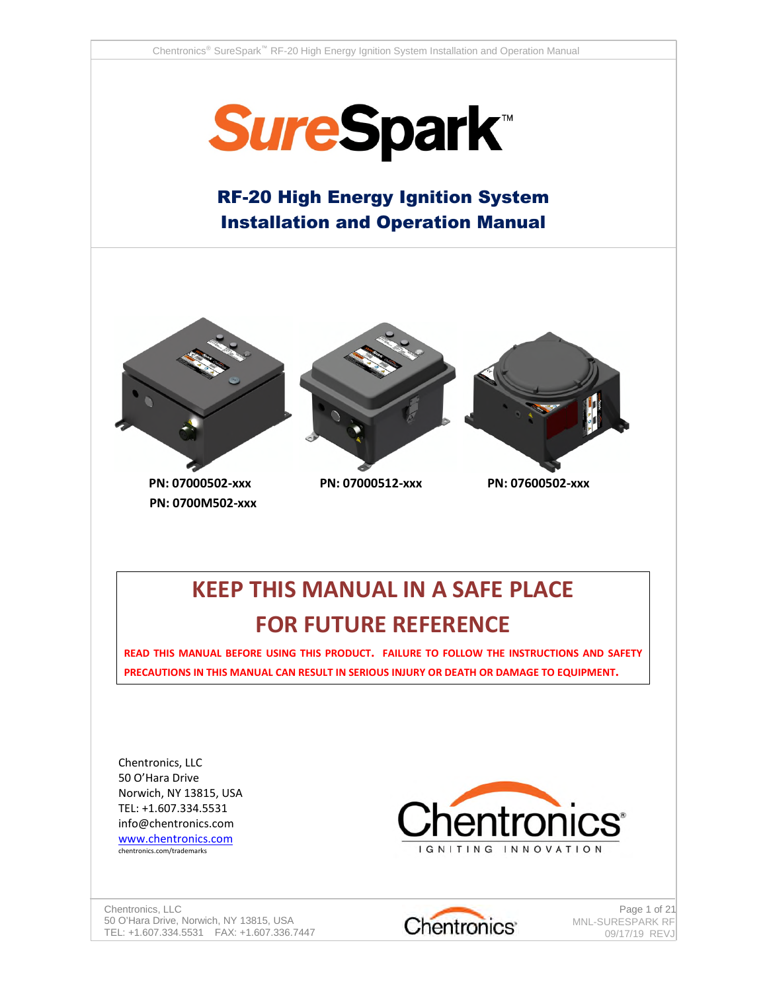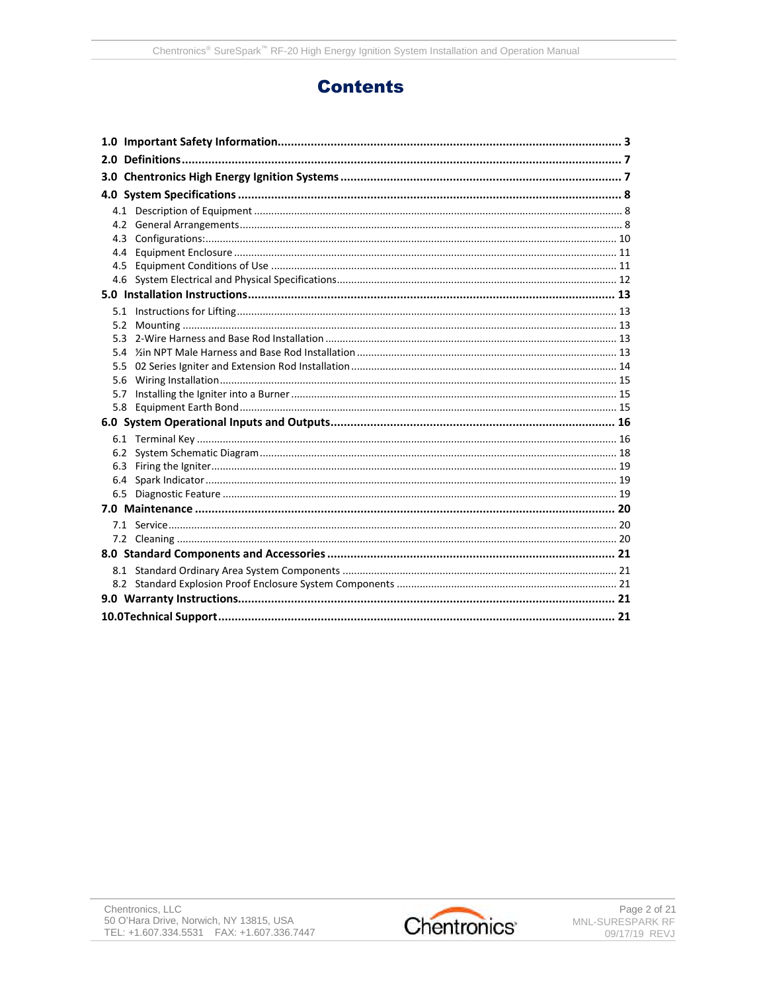## **Contents**

| 4.3 |  |  |  |  |
|-----|--|--|--|--|
| 4.4 |  |  |  |  |
| 4.5 |  |  |  |  |
|     |  |  |  |  |
|     |  |  |  |  |
|     |  |  |  |  |
|     |  |  |  |  |
|     |  |  |  |  |
|     |  |  |  |  |
|     |  |  |  |  |
| 5.6 |  |  |  |  |
|     |  |  |  |  |
|     |  |  |  |  |
|     |  |  |  |  |
|     |  |  |  |  |
|     |  |  |  |  |
|     |  |  |  |  |
|     |  |  |  |  |
|     |  |  |  |  |
|     |  |  |  |  |
|     |  |  |  |  |
|     |  |  |  |  |
|     |  |  |  |  |
|     |  |  |  |  |
|     |  |  |  |  |
|     |  |  |  |  |
|     |  |  |  |  |

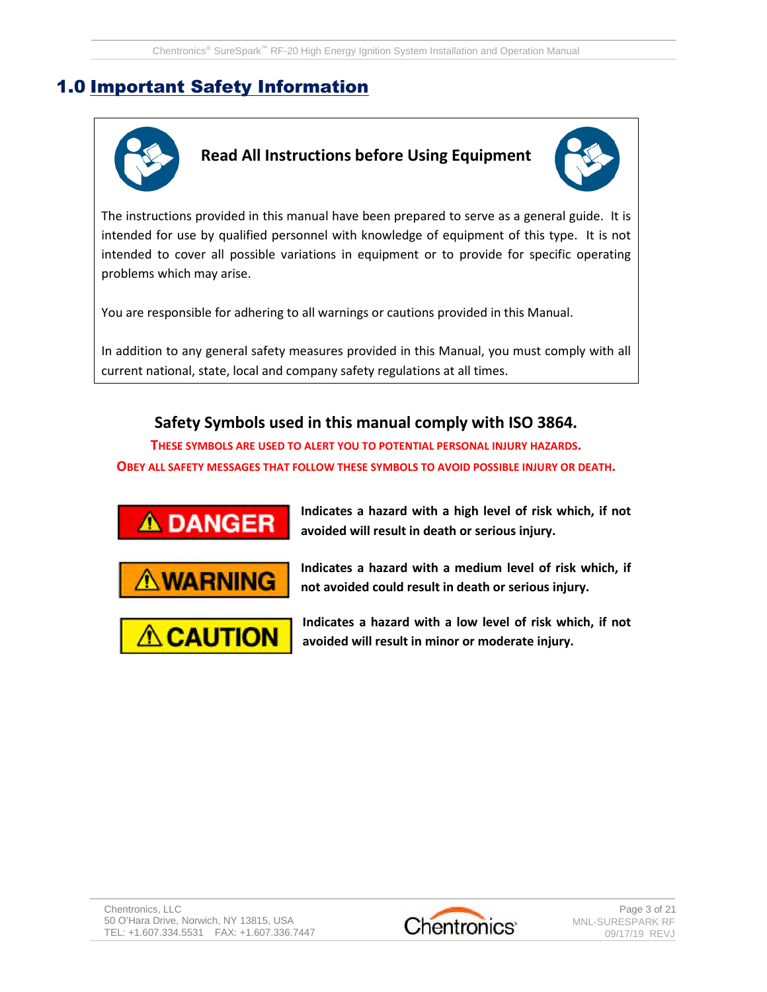# 1.0 Important Safety Information



**Read All Instructions before Using Equipment**



The instructions provided in this manual have been prepared to serve as a general guide. It is intended for use by qualified personnel with knowledge of equipment of this type. It is not intended to cover all possible variations in equipment or to provide for specific operating problems which may arise.

You are responsible for adhering to all warnings or cautions provided in this Manual.

In addition to any general safety measures provided in this Manual, you must comply with all current national, state, local and company safety regulations at all times.

### **Safety Symbols used in this manual comply with ISO 3864.**

**THESE SYMBOLS ARE USED TO ALERT YOU TO POTENTIAL PERSONAL INJURY HAZARDS. OBEY ALL SAFETY MESSAGES THAT FOLLOW THESE SYMBOLS TO AVOID POSSIBLE INJURY OR DEATH.**



**Indicates a hazard with a high level of risk which, if not avoided will result in death or serious injury.**





**Indicates a hazard with a medium level of risk which, if not avoided could result in death or serious injury.**

**Indicates a hazard with a low level of risk which, if not avoided will result in minor or moderate injury.**

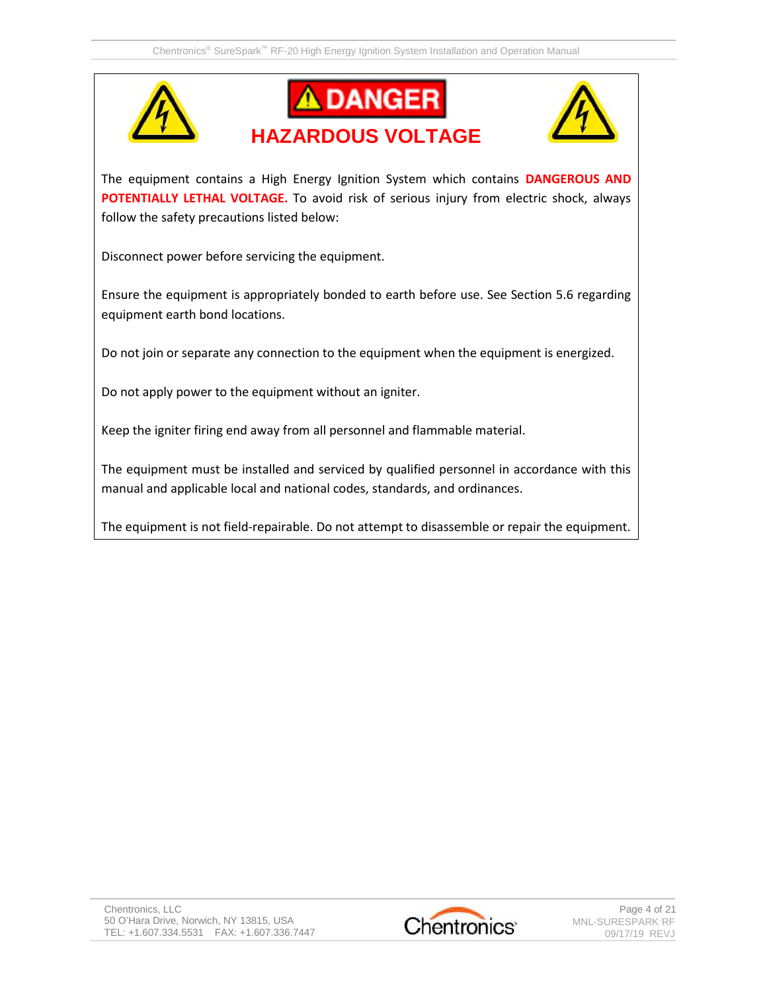





The equipment contains a High Energy Ignition System which contains **DANGEROUS AND POTENTIALLY LETHAL VOLTAGE.** To avoid risk of serious injury from electric shock, always follow the safety precautions listed below:

Disconnect power before servicing the equipment.

Ensure the equipment is appropriately bonded to earth before use. See Section 5.6 regarding equipment earth bond locations.

Do not join or separate any connection to the equipment when the equipment is energized.

Do not apply power to the equipment without an igniter.

Keep the igniter firing end away from all personnel and flammable material.

The equipment must be installed and serviced by qualified personnel in accordance with this manual and applicable local and national codes, standards, and ordinances.

The equipment is not field-repairable. Do not attempt to disassemble or repair the equipment.

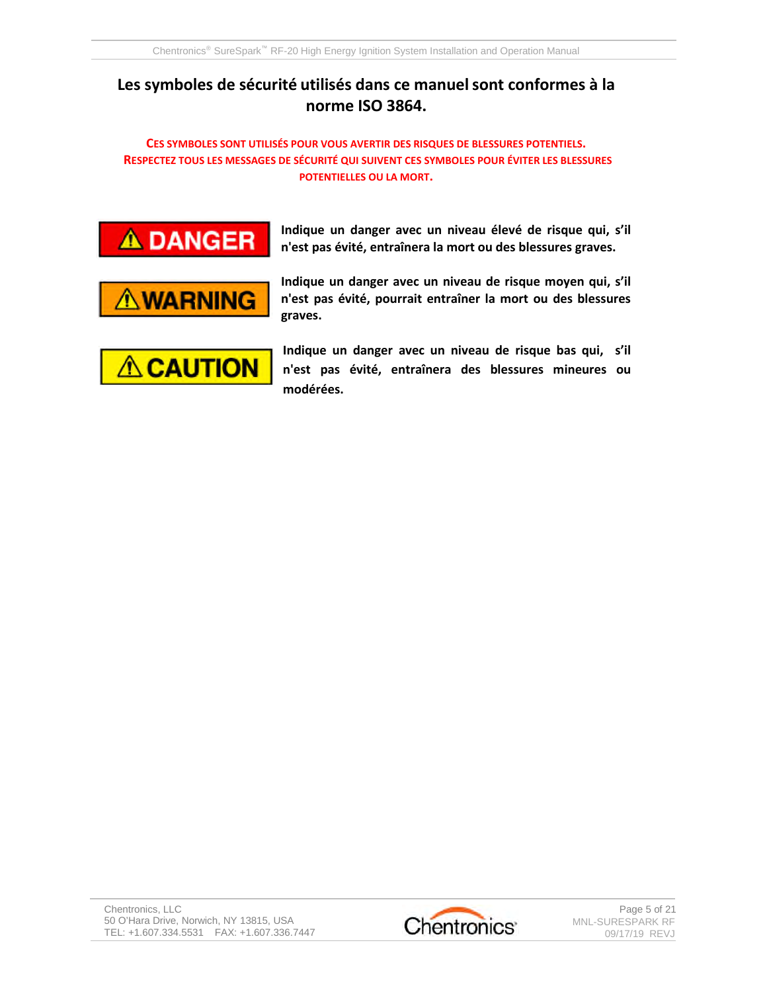## **Les symboles de sécurité utilisés dans ce manuelsont conformes à la norme ISO 3864.**

#### **CES SYMBOLES SONT UTILISÉS POUR VOUS AVERTIR DES RISQUES DE BLESSURES POTENTIELS. RESPECTEZ TOUS LES MESSAGES DE SÉCURITÉ QUI SUIVENT CES SYMBOLES POUR ÉVITER LES BLESSURES POTENTIELLES OU LA MORT.**



**Indique un danger avec un niveau élevé de risque qui, s'il n'est pas évité, entraînera la mort ou des blessures graves.**



**Indique un danger avec un niveau de risque moyen qui, s'il n'est pas évité, pourrait entraîner la mort ou des blessures graves.**



**Indique un danger avec un niveau de risque bas qui, s'il n'est pas évité, entraînera des blessures mineures ou modérées.**

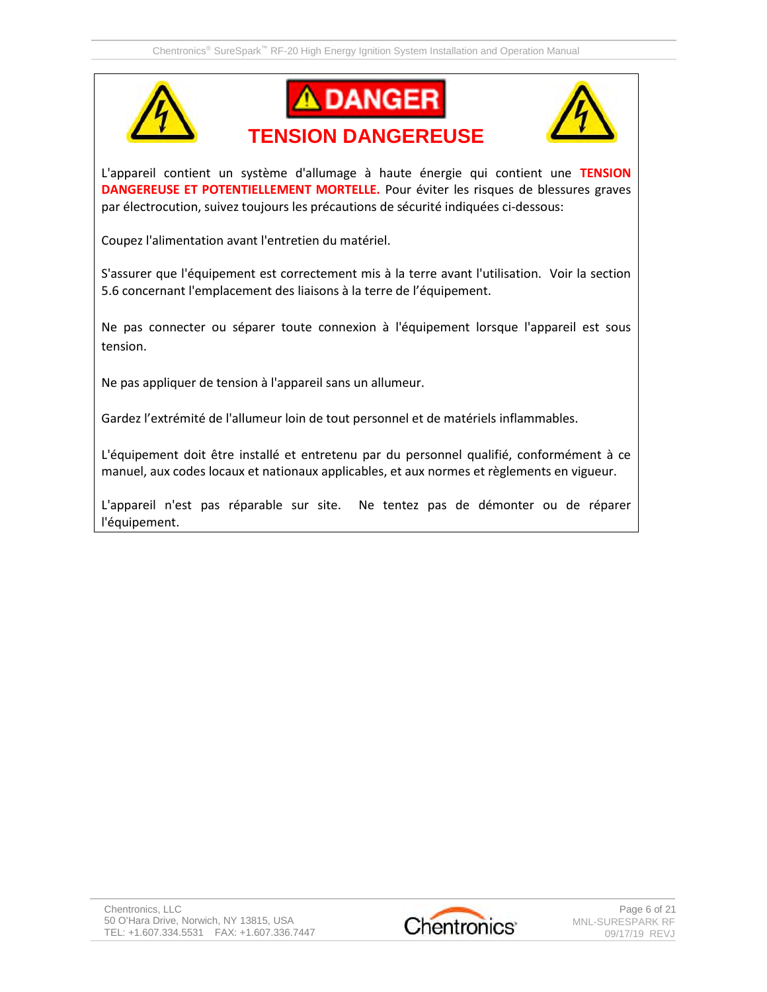





L'appareil contient un système d'allumage à haute énergie qui contient une **TENSION DANGEREUSE ET POTENTIELLEMENT MORTELLE.** Pour éviter les risques de blessures graves par électrocution, suivez toujours les précautions de sécurité indiquées ci-dessous:

Coupez l'alimentation avant l'entretien du matériel.

S'assurer que l'équipement est correctement mis à la terre avant l'utilisation. Voir la section 5.6 concernant l'emplacement des liaisons à la terre de l'équipement.

Ne pas connecter ou séparer toute connexion à l'équipement lorsque l'appareil est sous tension.

Ne pas appliquer de tension à l'appareil sans un allumeur.

Gardez l'extrémité de l'allumeur loin de tout personnel et de matériels inflammables.

L'équipement doit être installé et entretenu par du personnel qualifié, conformément à ce manuel, aux codes locaux et nationaux applicables, et aux normes et règlements en vigueur.

L'appareil n'est pas réparable sur site. Ne tentez pas de démonter ou de réparer l'équipement.

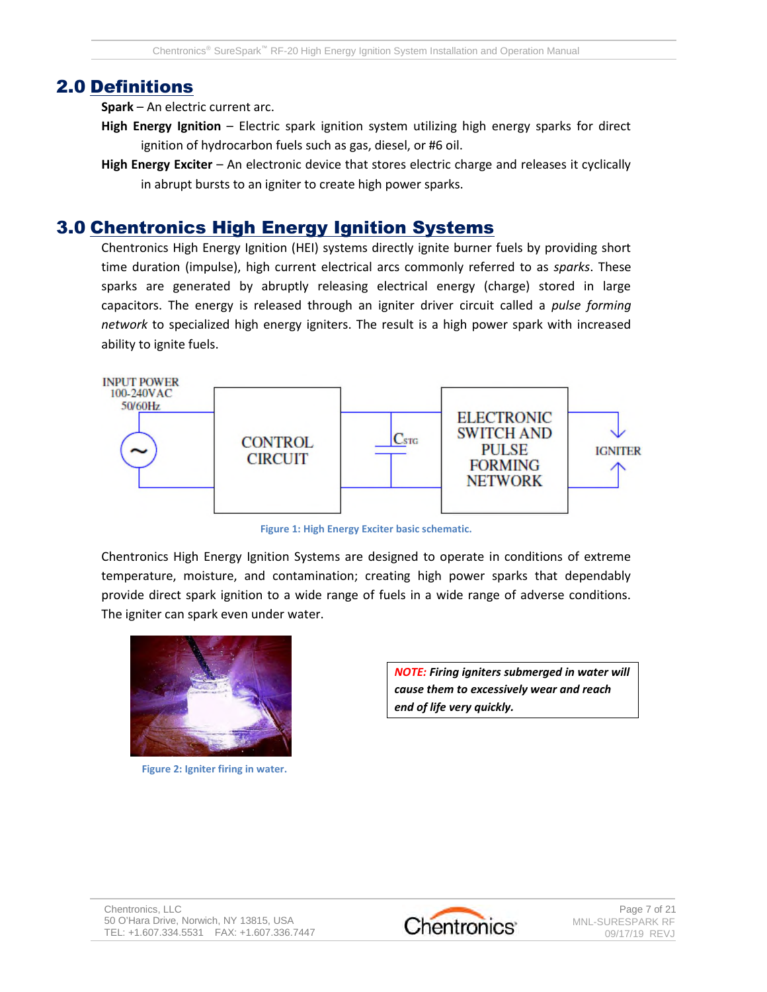## 2.0 Definitions

**Spark** – An electric current arc.

- **High Energy Ignition** Electric spark ignition system utilizing high energy sparks for direct ignition of hydrocarbon fuels such as gas, diesel, or #6 oil.
- **High Energy Exciter** An electronic device that stores electric charge and releases it cyclically in abrupt bursts to an igniter to create high power sparks.

## 3.0 Chentronics High Energy Ignition Systems

Chentronics High Energy Ignition (HEI) systems directly ignite burner fuels by providing short time duration (impulse), high current electrical arcs commonly referred to as *sparks*. These sparks are generated by abruptly releasing electrical energy (charge) stored in large capacitors. The energy is released through an igniter driver circuit called a *pulse forming network* to specialized high energy igniters. The result is a high power spark with increased ability to ignite fuels.



**Figure 1: High Energy Exciter basic schematic.**

Chentronics High Energy Ignition Systems are designed to operate in conditions of extreme temperature, moisture, and contamination; creating high power sparks that dependably provide direct spark ignition to a wide range of fuels in a wide range of adverse conditions. The igniter can spark even under water.



**Figure 2: Igniter firing in water.**

*NOTE: Firing igniters submerged in water will cause them to excessively wear and reach end of life very quickly.*

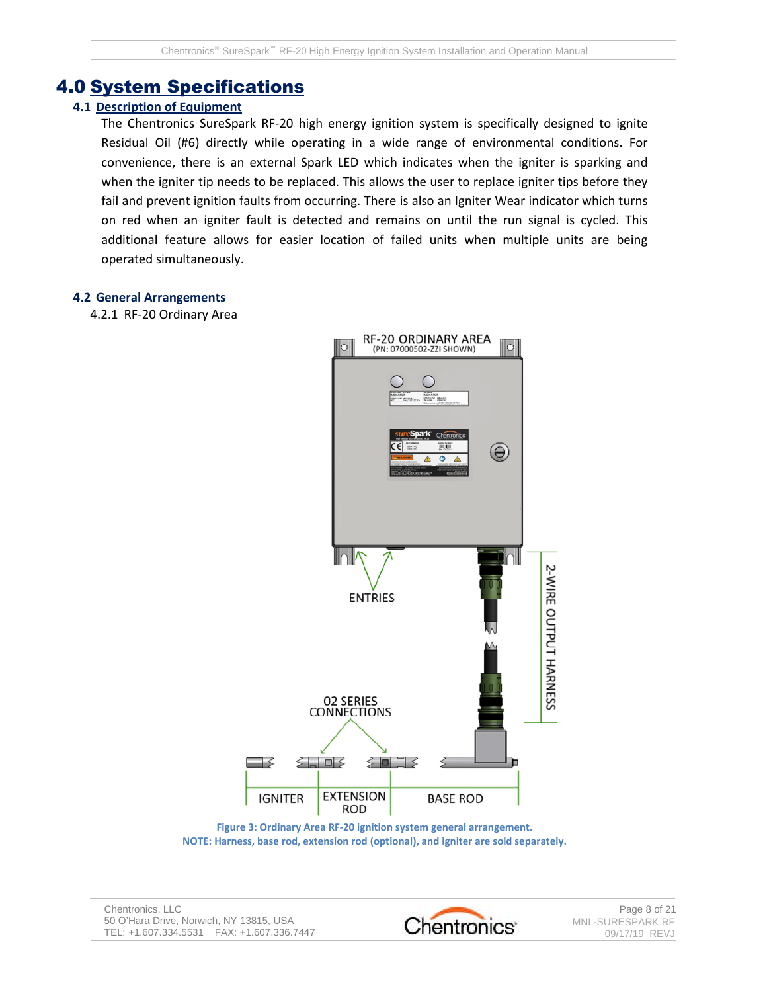### 4.0 System Specifications

#### **4.1 Description of Equipment**

The Chentronics SureSpark RF-20 high energy ignition system is specifically designed to ignite Residual Oil (#6) directly while operating in a wide range of environmental conditions. For convenience, there is an external Spark LED which indicates when the igniter is sparking and when the igniter tip needs to be replaced. This allows the user to replace igniter tips before they fail and prevent ignition faults from occurring. There is also an Igniter Wear indicator which turns on red when an igniter fault is detected and remains on until the run signal is cycled. This additional feature allows for easier location of failed units when multiple units are being operated simultaneously.

#### **4.2 General Arrangements**

4.2.1 RF-20 Ordinary Area



**Figure 3: Ordinary Area RF-20 ignition system general arrangement. NOTE: Harness, base rod, extension rod (optional), and igniter are sold separately.**

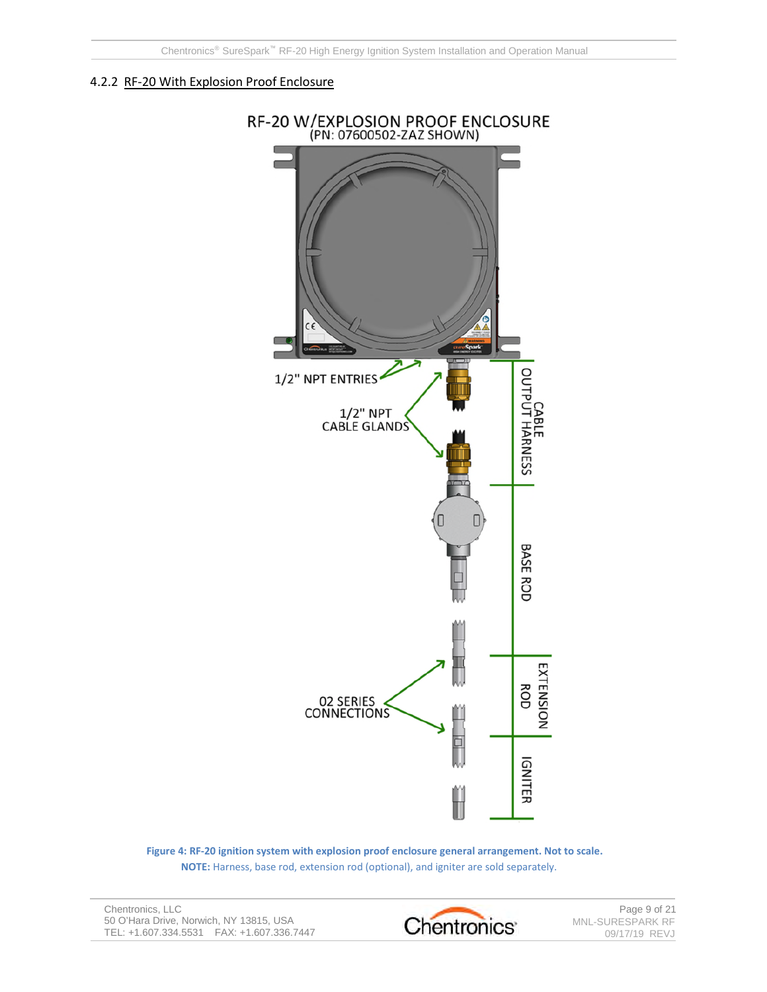#### 4.2.2 RF-20 With Explosion Proof Enclosure



**Figure 4: RF-20 ignition system with explosion proof enclosure general arrangement. Not to scale. NOTE:** Harness, base rod, extension rod (optional), and igniter are sold separately.

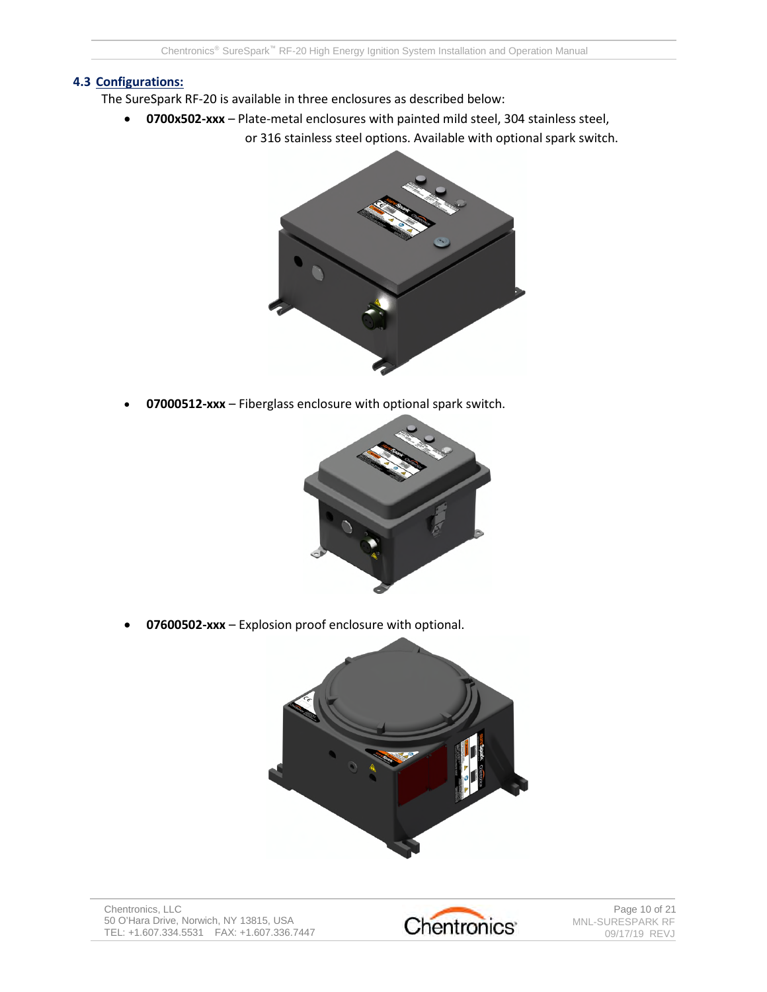#### **4.3 Configurations:**

- The SureSpark RF-20 is available in three enclosures as described below:
	- **0700x502-xxx** Plate-metal enclosures with painted mild steel, 304 stainless steel,
		- or 316 stainless steel options. Available with optional spark switch.



**07000512-xxx** – Fiberglass enclosure with optional spark switch.



**07600502-xxx** – Explosion proof enclosure with optional.



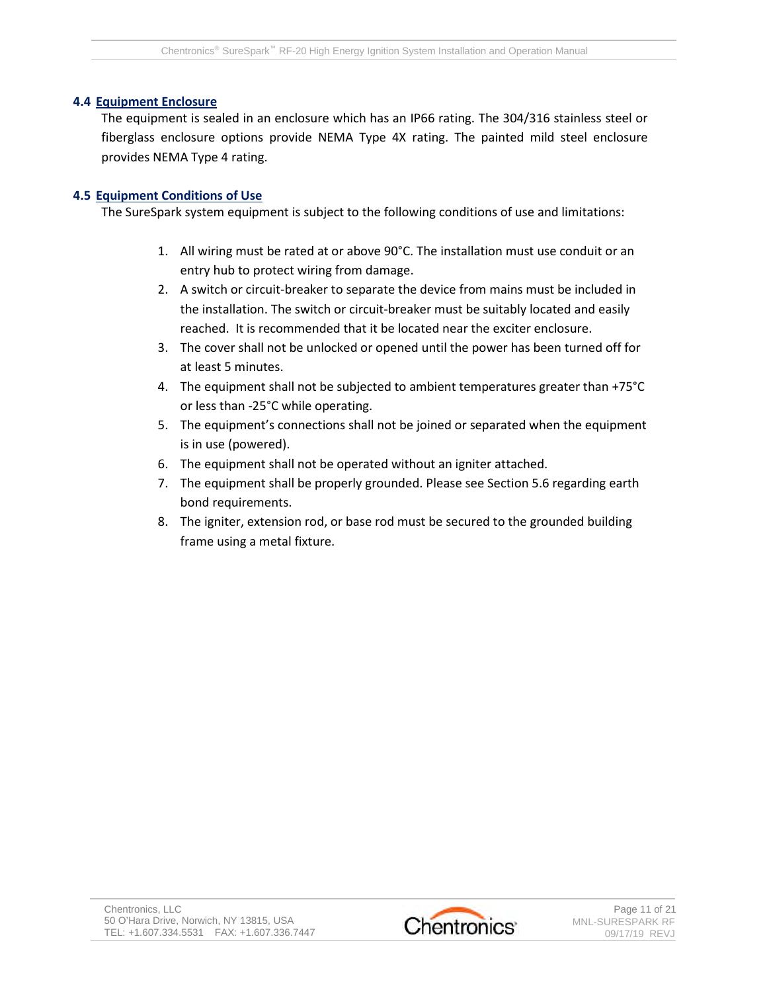#### **4.4 Equipment Enclosure**

The equipment is sealed in an enclosure which has an IP66 rating. The 304/316 stainless steel or fiberglass enclosure options provide NEMA Type 4X rating. The painted mild steel enclosure provides NEMA Type 4 rating.

#### **4.5 Equipment Conditions of Use**

The SureSpark system equipment is subject to the following conditions of use and limitations:

- 1. All wiring must be rated at or above 90°C. The installation must use conduit or an entry hub to protect wiring from damage.
- 2. A switch or circuit-breaker to separate the device from mains must be included in the installation. The switch or circuit-breaker must be suitably located and easily reached. It is recommended that it be located near the exciter enclosure.
- 3. The cover shall not be unlocked or opened until the power has been turned off for at least 5 minutes.
- 4. The equipment shall not be subjected to ambient temperatures greater than +75°C or less than -25°C while operating.
- 5. The equipment's connections shall not be joined or separated when the equipment is in use (powered).
- 6. The equipment shall not be operated without an igniter attached.
- 7. The equipment shall be properly grounded. Please see Section 5.6 regarding earth bond requirements.
- 8. The igniter, extension rod, or base rod must be secured to the grounded building frame using a metal fixture.

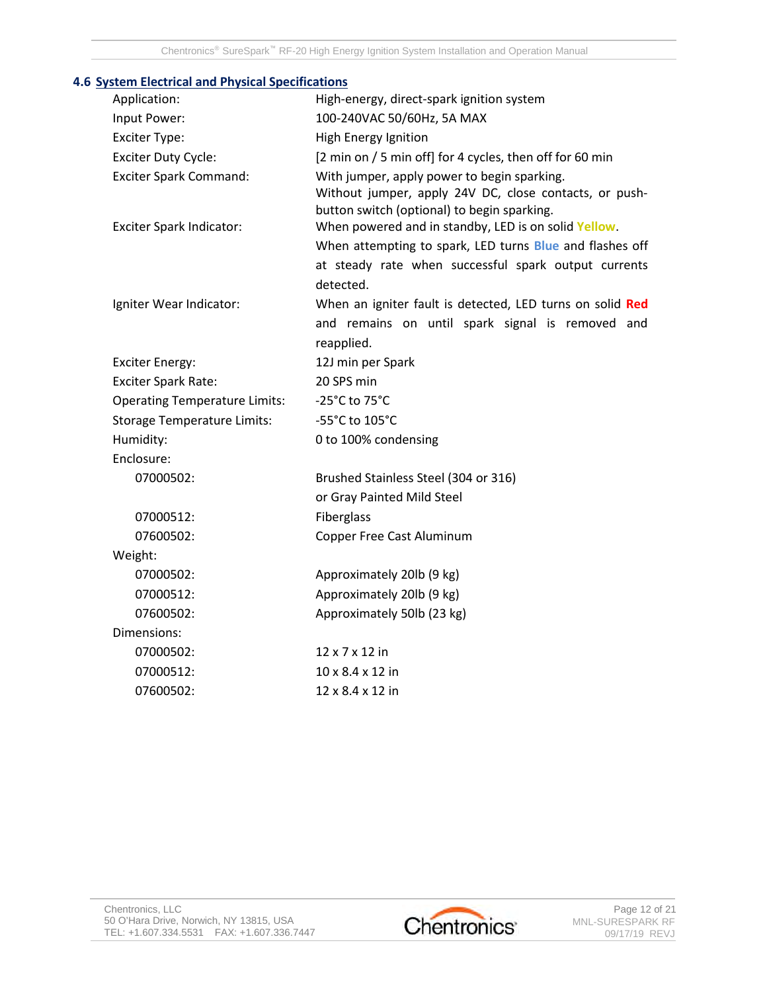| <u>stem Electrical and Hilysical Specifications</u> |                                                                                                                                                                                       |  |  |
|-----------------------------------------------------|---------------------------------------------------------------------------------------------------------------------------------------------------------------------------------------|--|--|
| Application:                                        | High-energy, direct-spark ignition system                                                                                                                                             |  |  |
| Input Power:                                        | 100-240VAC 50/60Hz, 5A MAX                                                                                                                                                            |  |  |
| <b>Exciter Type:</b>                                | High Energy Ignition                                                                                                                                                                  |  |  |
| <b>Exciter Duty Cycle:</b>                          | [2 min on / 5 min off] for 4 cycles, then off for 60 min                                                                                                                              |  |  |
| <b>Exciter Spark Command:</b>                       | With jumper, apply power to begin sparking.<br>Without jumper, apply 24V DC, close contacts, or push-<br>button switch (optional) to begin sparking.                                  |  |  |
| Exciter Spark Indicator:                            | When powered and in standby, LED is on solid Yellow.<br>When attempting to spark, LED turns Blue and flashes off<br>at steady rate when successful spark output currents<br>detected. |  |  |
| Igniter Wear Indicator:                             | When an igniter fault is detected, LED turns on solid Red<br>and remains on until spark signal is removed and<br>reapplied.                                                           |  |  |
| <b>Exciter Energy:</b>                              | 12J min per Spark                                                                                                                                                                     |  |  |
| <b>Exciter Spark Rate:</b>                          | 20 SPS min                                                                                                                                                                            |  |  |
| <b>Operating Temperature Limits:</b>                | -25°C to 75°C                                                                                                                                                                         |  |  |
| <b>Storage Temperature Limits:</b>                  | -55°C to 105°C                                                                                                                                                                        |  |  |
| Humidity:                                           | 0 to 100% condensing                                                                                                                                                                  |  |  |
| Enclosure:                                          |                                                                                                                                                                                       |  |  |
| 07000502:                                           | Brushed Stainless Steel (304 or 316)                                                                                                                                                  |  |  |
|                                                     | or Gray Painted Mild Steel                                                                                                                                                            |  |  |
| 07000512:                                           | Fiberglass                                                                                                                                                                            |  |  |
| 07600502:                                           | Copper Free Cast Aluminum                                                                                                                                                             |  |  |
| Weight:                                             |                                                                                                                                                                                       |  |  |
| 07000502:                                           | Approximately 20lb (9 kg)                                                                                                                                                             |  |  |
| 07000512:                                           | Approximately 20lb (9 kg)                                                                                                                                                             |  |  |
| 07600502:                                           | Approximately 50lb (23 kg)                                                                                                                                                            |  |  |
| Dimensions:                                         |                                                                                                                                                                                       |  |  |
| 07000502:                                           | 12 x 7 x 12 in                                                                                                                                                                        |  |  |
| 07000512:                                           | 10 x 8.4 x 12 in                                                                                                                                                                      |  |  |
| 07600502:                                           | 12 x 8.4 x 12 in                                                                                                                                                                      |  |  |

### **4.6 System Electrical and Physical Specifications**

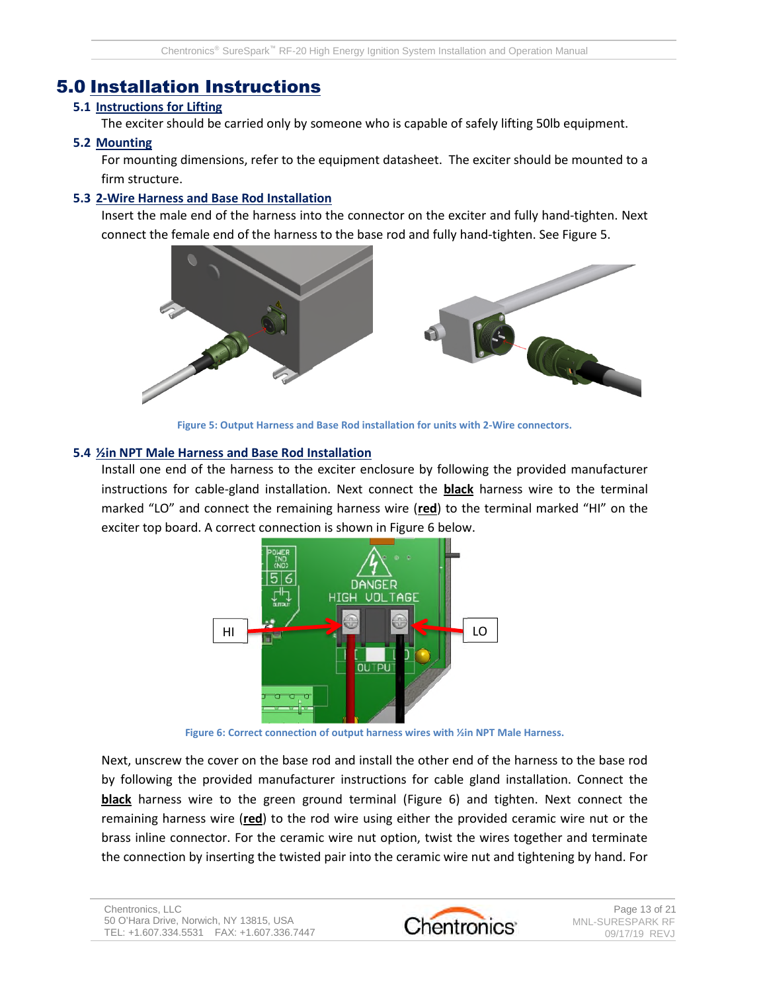## 5.0 Installation Instructions

### **5.1 Instructions for Lifting**

The exciter should be carried only by someone who is capable of safely lifting 50lb equipment.

### **5.2 Mounting**

For mounting dimensions, refer to the equipment datasheet. The exciter should be mounted to a firm structure.

### **5.3 2-Wire Harness and Base Rod Installation**

Insert the male end of the harness into the connector on the exciter and fully hand-tighten. Next connect the female end of the harness to the base rod and fully hand-tighten. See Figure 5.



**Figure 5: Output Harness and Base Rod installation for units with 2-Wire connectors.**

#### **5.4 ½in NPT Male Harness and Base Rod Installation**

Install one end of the harness to the exciter enclosure by following the provided manufacturer instructions for cable-gland installation. Next connect the **black** harness wire to the terminal marked "LO" and connect the remaining harness wire (**red**) to the terminal marked "HI" on the exciter top board. A correct connection is shown in Figure 6 below.



**Figure 6: Correct connection of output harness wires with ½in NPT Male Harness.**

Next, unscrew the cover on the base rod and install the other end of the harness to the base rod by following the provided manufacturer instructions for cable gland installation. Connect the **black** harness wire to the green ground terminal (Figure 6) and tighten. Next connect the remaining harness wire (**red**) to the rod wire using either the provided ceramic wire nut or the brass inline connector. For the ceramic wire nut option, twist the wires together and terminate the connection by inserting the twisted pair into the ceramic wire nut and tightening by hand. For

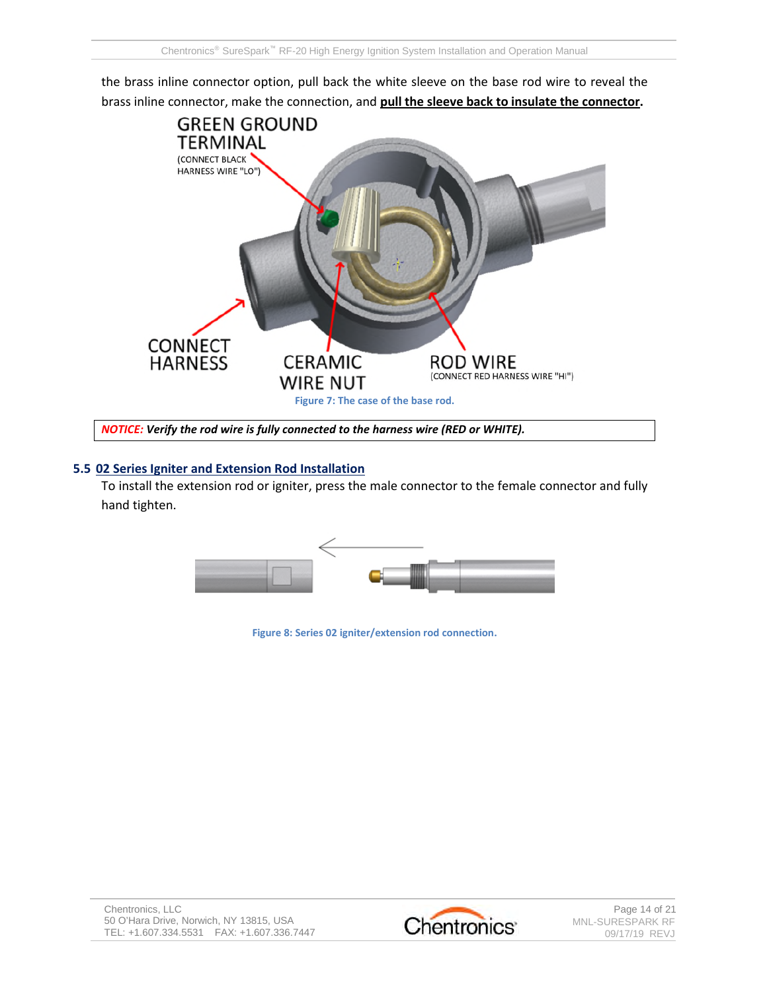the brass inline connector option, pull back the white sleeve on the base rod wire to reveal the brass inline connector, make the connection, and **pull the sleeve back to insulate the connector.**



## *NOTICE: Verify the rod wire is fully connected to the harness wire (RED or WHITE).*

#### **5.5 02 Series Igniter and Extension Rod Installation**

To install the extension rod or igniter, press the male connector to the female connector and fully hand tighten.



**Figure 8: Series 02 igniter/extension rod connection.**

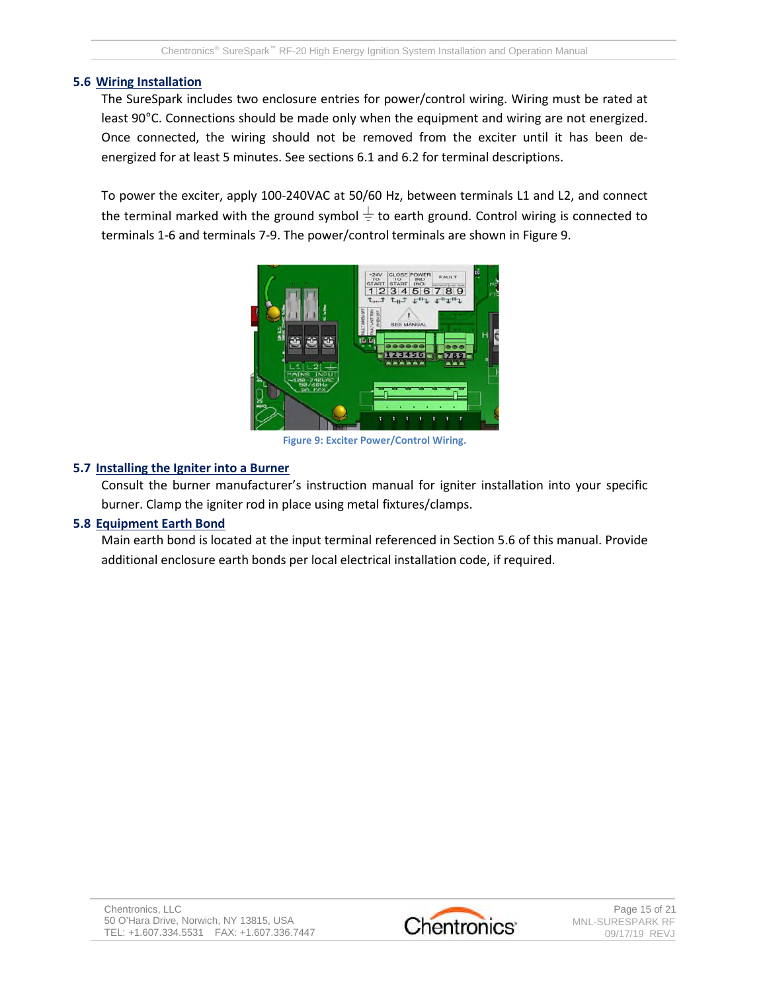#### **5.6 Wiring Installation**

The SureSpark includes two enclosure entries for power/control wiring. Wiring must be rated at least 90°C. Connections should be made only when the equipment and wiring are not energized. Once connected, the wiring should not be removed from the exciter until it has been deenergized for at least 5 minutes. See sections 6.1 and 6.2 for terminal descriptions.

To power the exciter, apply 100-240VAC at 50/60 Hz, between terminals L1 and L2, and connect the terminal marked with the ground symbol  $\pm$  to earth ground. Control wiring is connected to terminals 1-6 and terminals 7-9. The power/control terminals are shown in Figure 9.



**Figure 9: Exciter Power/Control Wiring.**

#### **5.7 Installing the Igniter into a Burner**

Consult the burner manufacturer's instruction manual for igniter installation into your specific burner. Clamp the igniter rod in place using metal fixtures/clamps.

### **5.8 Equipment Earth Bond**

Main earth bond is located at the input terminal referenced in Section 5.6 of this manual. Provide additional enclosure earth bonds per local electrical installation code, if required.

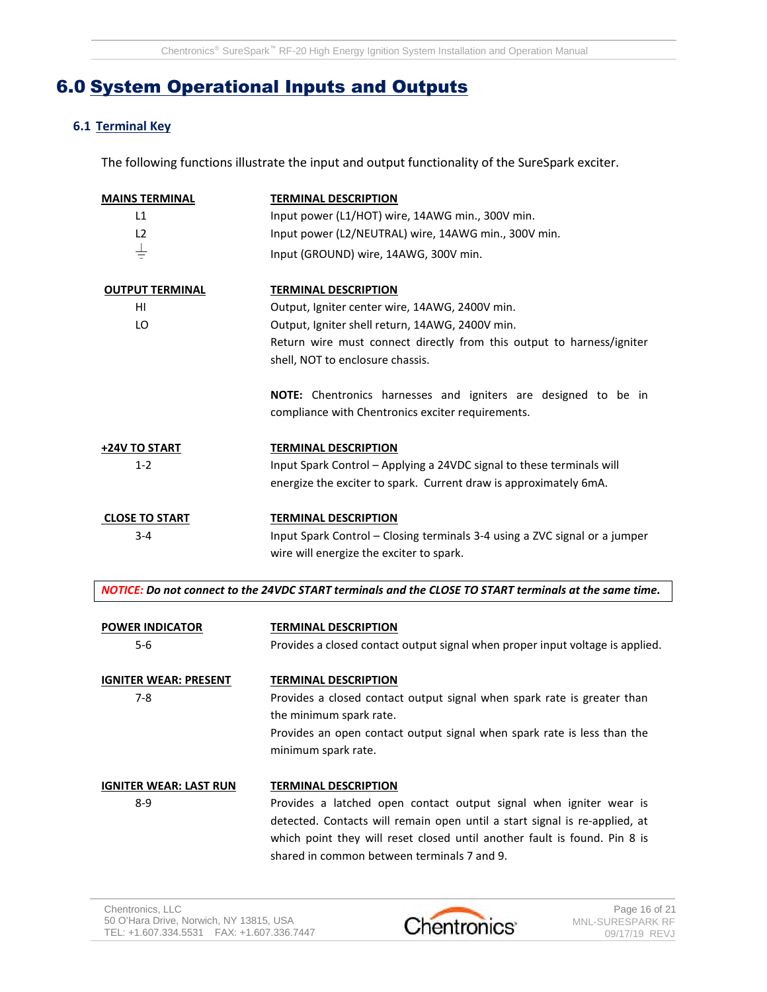## 6.0 System Operational Inputs and Outputs

### **6.1 Terminal Key**

The following functions illustrate the input and output functionality of the SureSpark exciter.

| <b>MAINS TERMINAL</b>         | <b>TERMINAL DESCRIPTION</b>                                                                            |  |  |  |
|-------------------------------|--------------------------------------------------------------------------------------------------------|--|--|--|
| L1                            | Input power (L1/HOT) wire, 14AWG min., 300V min.                                                       |  |  |  |
| L2                            | Input power (L2/NEUTRAL) wire, 14AWG min., 300V min.                                                   |  |  |  |
| <del>수</del>                  | Input (GROUND) wire, 14AWG, 300V min.                                                                  |  |  |  |
| <b>OUTPUT TERMINAL</b>        | <b>TERMINAL DESCRIPTION</b>                                                                            |  |  |  |
| HI                            | Output, Igniter center wire, 14AWG, 2400V min.                                                         |  |  |  |
| LO                            | Output, Igniter shell return, 14AWG, 2400V min.                                                        |  |  |  |
|                               | Return wire must connect directly from this output to harness/igniter                                  |  |  |  |
|                               | shell, NOT to enclosure chassis.                                                                       |  |  |  |
|                               | NOTE: Chentronics harnesses and igniters are designed to be in                                         |  |  |  |
|                               | compliance with Chentronics exciter requirements.                                                      |  |  |  |
| +24V TO START                 | <b>TERMINAL DESCRIPTION</b>                                                                            |  |  |  |
| $1 - 2$                       | Input Spark Control - Applying a 24VDC signal to these terminals will                                  |  |  |  |
|                               | energize the exciter to spark. Current draw is approximately 6mA.                                      |  |  |  |
| <b>CLOSE TO START</b>         | <b>TERMINAL DESCRIPTION</b>                                                                            |  |  |  |
| 3-4                           | Input Spark Control - Closing terminals 3-4 using a ZVC signal or a jumper                             |  |  |  |
|                               | wire will energize the exciter to spark.                                                               |  |  |  |
|                               |                                                                                                        |  |  |  |
|                               | NOTICE: Do not connect to the 24VDC START terminals and the CLOSE TO START terminals at the same time. |  |  |  |
| <b>POWER INDICATOR</b>        | <b>TERMINAL DESCRIPTION</b>                                                                            |  |  |  |
| 5-6                           | Provides a closed contact output signal when proper input voltage is applied.                          |  |  |  |
| <b>IGNITER WEAR: PRESENT</b>  | <b>TERMINAL DESCRIPTION</b>                                                                            |  |  |  |
| $7 - 8$                       | Provides a closed contact output signal when spark rate is greater than                                |  |  |  |
|                               | the minimum spark rate.                                                                                |  |  |  |
|                               | Provides an open contact output signal when spark rate is less than the                                |  |  |  |
|                               | minimum spark rate.                                                                                    |  |  |  |
| <b>IGNITER WEAR: LAST RUN</b> | <b>TERMINAL DESCRIPTION</b>                                                                            |  |  |  |
| $8 - 9$                       | Provides a latched open contact output signal when igniter wear is                                     |  |  |  |
|                               | detected. Contacts will remain open until a start signal is re-applied, at                             |  |  |  |
|                               | which point they will reset closed until another fault is found. Pin 8 is                              |  |  |  |
|                               | shared in common between terminals 7 and 9.                                                            |  |  |  |

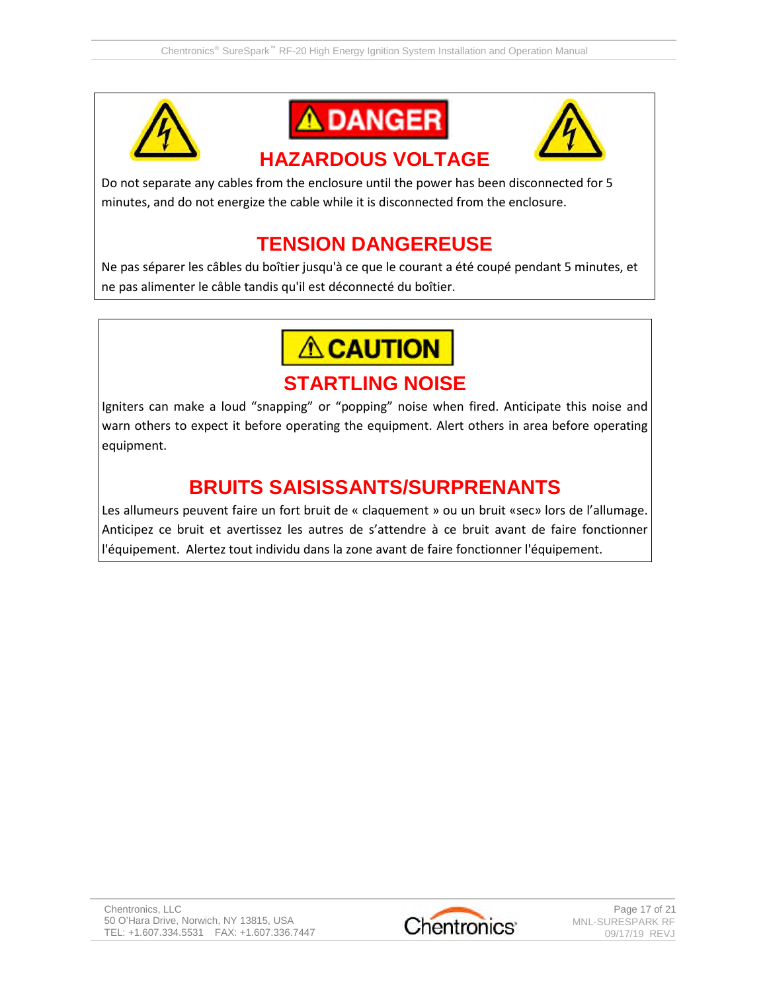





# **HAZARDOUS VOLTAGE**

Do not separate any cables from the enclosure until the power has been disconnected for 5 minutes, and do not energize the cable while it is disconnected from the enclosure.

# **TENSION DANGEREUSE**

Ne pas séparer les câbles du boîtier jusqu'à ce que le courant a été coupé pendant 5 minutes, et ne pas alimenter le câble tandis qu'il est déconnecté du boîtier.

**ACAUTION** 

## **STARTLING NOISE**

Igniters can make a loud "snapping" or "popping" noise when fired. Anticipate this noise and warn others to expect it before operating the equipment. Alert others in area before operating equipment.

# **BRUITS SAISISSANTS/SURPRENANTS**

Les allumeurs peuvent faire un fort bruit de « claquement » ou un bruit «sec» lors de l'allumage. Anticipez ce bruit et avertissez les autres de s'attendre à ce bruit avant de faire fonctionner l'équipement. Alertez tout individu dans la zone avant de faire fonctionner l'équipement.

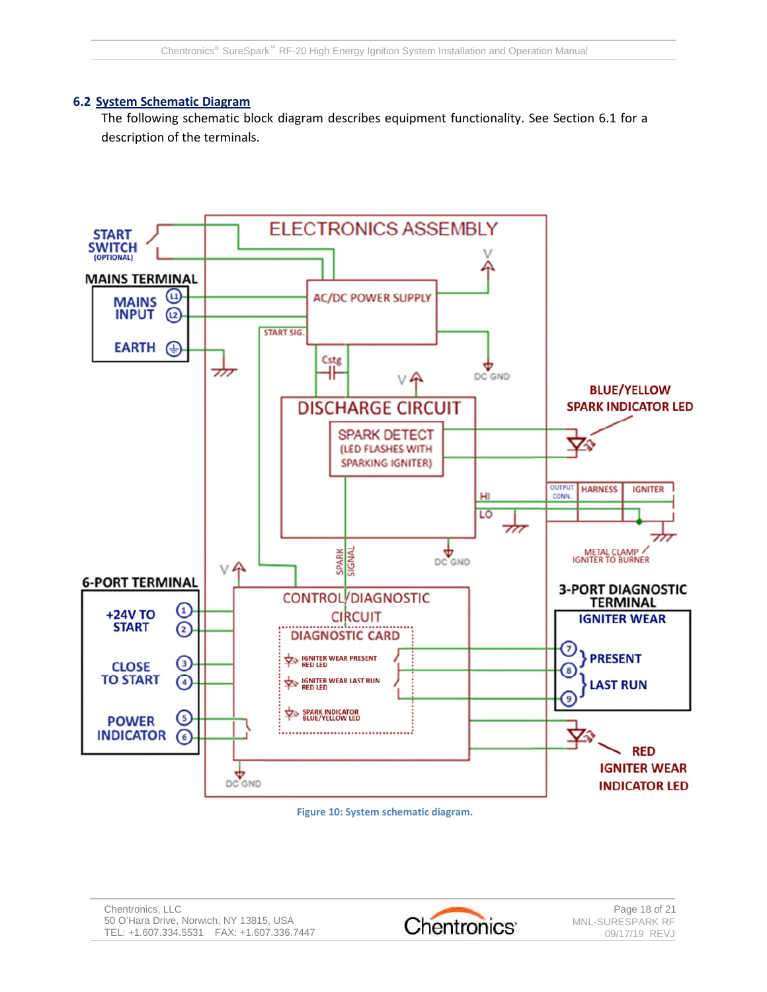#### **6.2 System Schematic Diagram**

The following schematic block diagram describes equipment functionality. See Section 6.1 for a description of the terminals.



**Figure 10: System schematic diagram.**

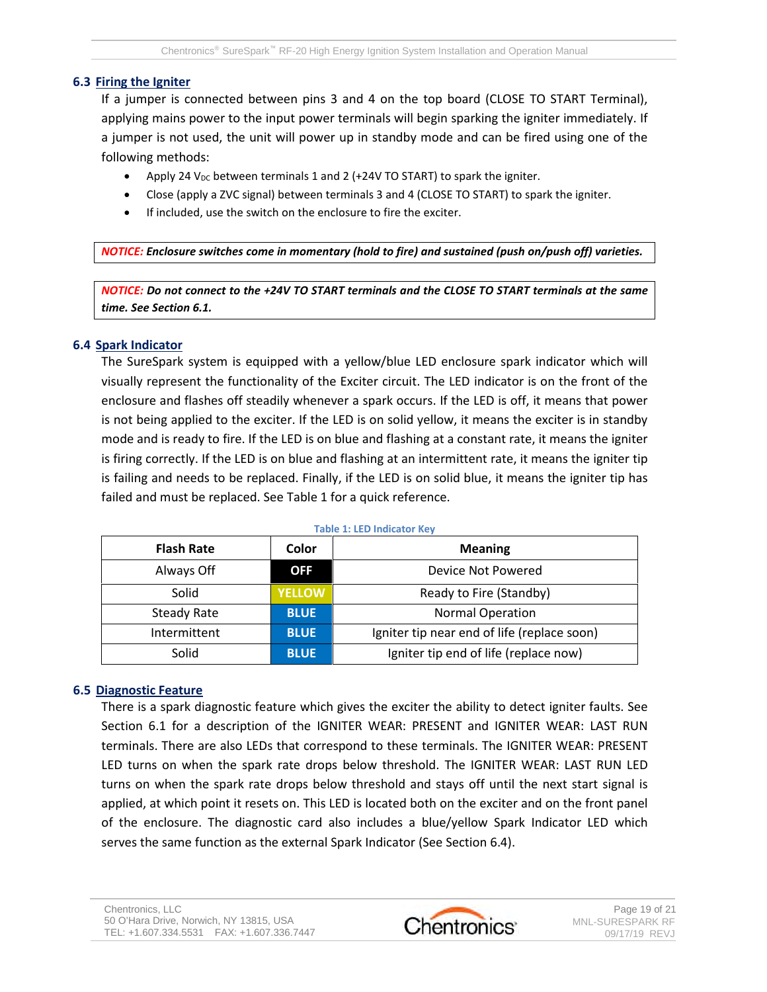#### **6.3 Firing the Igniter**

If a jumper is connected between pins 3 and 4 on the top board (CLOSE TO START Terminal), applying mains power to the input power terminals will begin sparking the igniter immediately. If a jumper is not used, the unit will power up in standby mode and can be fired using one of the following methods:

- Apply 24 V<sub>DC</sub> between terminals 1 and 2 (+24V TO START) to spark the igniter.
- Close (apply a ZVC signal) between terminals 3 and 4 (CLOSE TO START) to spark the igniter.
- If included, use the switch on the enclosure to fire the exciter.

*NOTICE: Enclosure switches come in momentary (hold to fire) and sustained (push on/push off) varieties.*

*NOTICE: Do not connect to the +24V TO START terminals and the CLOSE TO START terminals at the same time. See Section 6.1.*

#### **6.4 Spark Indicator**

The SureSpark system is equipped with a yellow/blue LED enclosure spark indicator which will visually represent the functionality of the Exciter circuit. The LED indicator is on the front of the enclosure and flashes off steadily whenever a spark occurs. If the LED is off, it means that power is not being applied to the exciter. If the LED is on solid yellow, it means the exciter is in standby mode and is ready to fire. If the LED is on blue and flashing at a constant rate, it means the igniter is firing correctly. If the LED is on blue and flashing at an intermittent rate, it means the igniter tip is failing and needs to be replaced. Finally, if the LED is on solid blue, it means the igniter tip has failed and must be replaced. See Table 1 for a quick reference.

| Table 1. LED Multatul Rev |               |                                             |  |  |  |
|---------------------------|---------------|---------------------------------------------|--|--|--|
| <b>Flash Rate</b>         | Color         | <b>Meaning</b>                              |  |  |  |
| Always Off                | <b>OFF</b>    | Device Not Powered                          |  |  |  |
| Solid                     | <b>YELLOW</b> | Ready to Fire (Standby)                     |  |  |  |
| Steady Rate               | <b>BLUE</b>   | <b>Normal Operation</b>                     |  |  |  |
| Intermittent              | <b>BLUE</b>   | Igniter tip near end of life (replace soon) |  |  |  |
| Solid                     | <b>BLUE</b>   | Igniter tip end of life (replace now)       |  |  |  |

**Table 1: LED Indicator Key**

#### **6.5 Diagnostic Feature**

There is a spark diagnostic feature which gives the exciter the ability to detect igniter faults. See Section 6.1 for a description of the IGNITER WEAR: PRESENT and IGNITER WEAR: LAST RUN terminals. There are also LEDs that correspond to these terminals. The IGNITER WEAR: PRESENT LED turns on when the spark rate drops below threshold. The IGNITER WEAR: LAST RUN LED turns on when the spark rate drops below threshold and stays off until the next start signal is applied, at which point it resets on. This LED is located both on the exciter and on the front panel of the enclosure. The diagnostic card also includes a blue/yellow Spark Indicator LED which serves the same function as the external Spark Indicator (See Section 6.4).

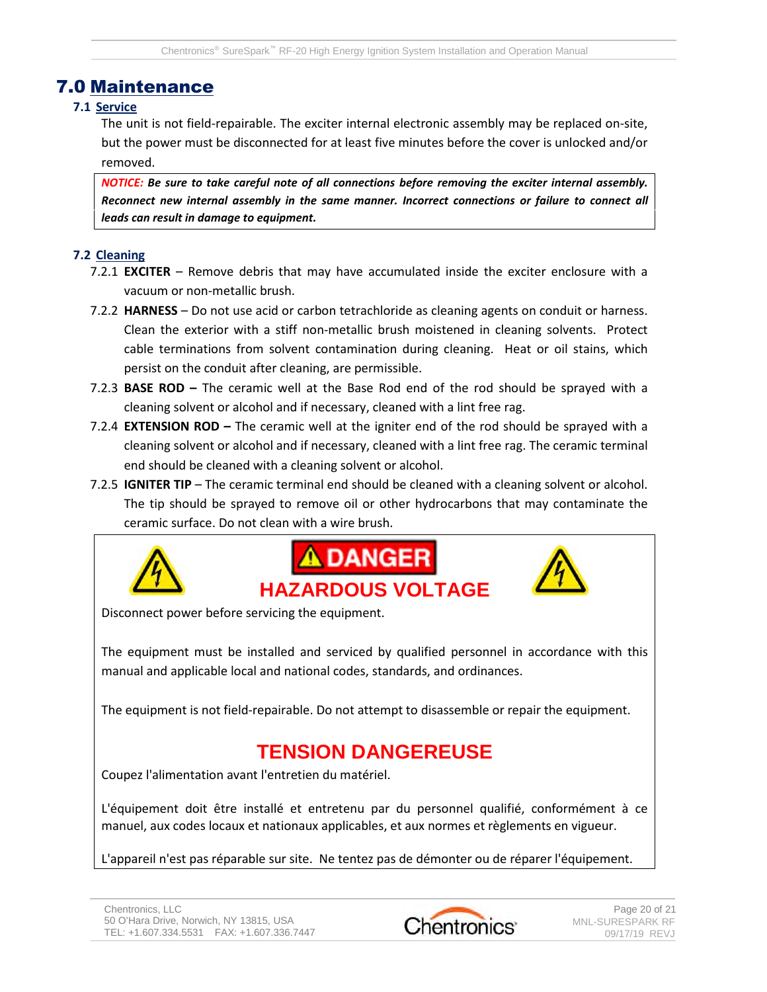## 7.0 Maintenance

#### **7.1 Service**

The unit is not field-repairable. The exciter internal electronic assembly may be replaced on-site, but the power must be disconnected for at least five minutes before the cover is unlocked and/or removed.

*NOTICE: Be sure to take careful note of all connections before removing the exciter internal assembly. Reconnect new internal assembly in the same manner. Incorrect connections or failure to connect all leads can result in damage to equipment.*

### **7.2 Cleaning**

- 7.2.1 **EXCITER** Remove debris that may have accumulated inside the exciter enclosure with a vacuum or non-metallic brush.
- 7.2.2 **HARNESS** Do not use acid or carbon tetrachloride as cleaning agents on conduit or harness. Clean the exterior with a stiff non-metallic brush moistened in cleaning solvents. Protect cable terminations from solvent contamination during cleaning. Heat or oil stains, which persist on the conduit after cleaning, are permissible.
- 7.2.3 **BASE ROD –** The ceramic well at the Base Rod end of the rod should be sprayed with a cleaning solvent or alcohol and if necessary, cleaned with a lint free rag.
- 7.2.4 **EXTENSION ROD –** The ceramic well at the igniter end of the rod should be sprayed with a cleaning solvent or alcohol and if necessary, cleaned with a lint free rag. The ceramic terminal end should be cleaned with a cleaning solvent or alcohol.
- 7.2.5 **IGNITER TIP** The ceramic terminal end should be cleaned with a cleaning solvent or alcohol. The tip should be sprayed to remove oil or other hydrocarbons that may contaminate the ceramic surface. Do not clean with a wire brush.







Disconnect power before servicing the equipment.

The equipment must be installed and serviced by qualified personnel in accordance with this manual and applicable local and national codes, standards, and ordinances.

The equipment is not field-repairable. Do not attempt to disassemble or repair the equipment.

# **TENSION DANGEREUSE**

Coupez l'alimentation avant l'entretien du matériel.

L'équipement doit être installé et entretenu par du personnel qualifié, conformément à ce manuel, aux codes locaux et nationaux applicables, et aux normes et règlements en vigueur.

L'appareil n'est pas réparable sur site. Ne tentez pas de démonter ou de réparer l'équipement.